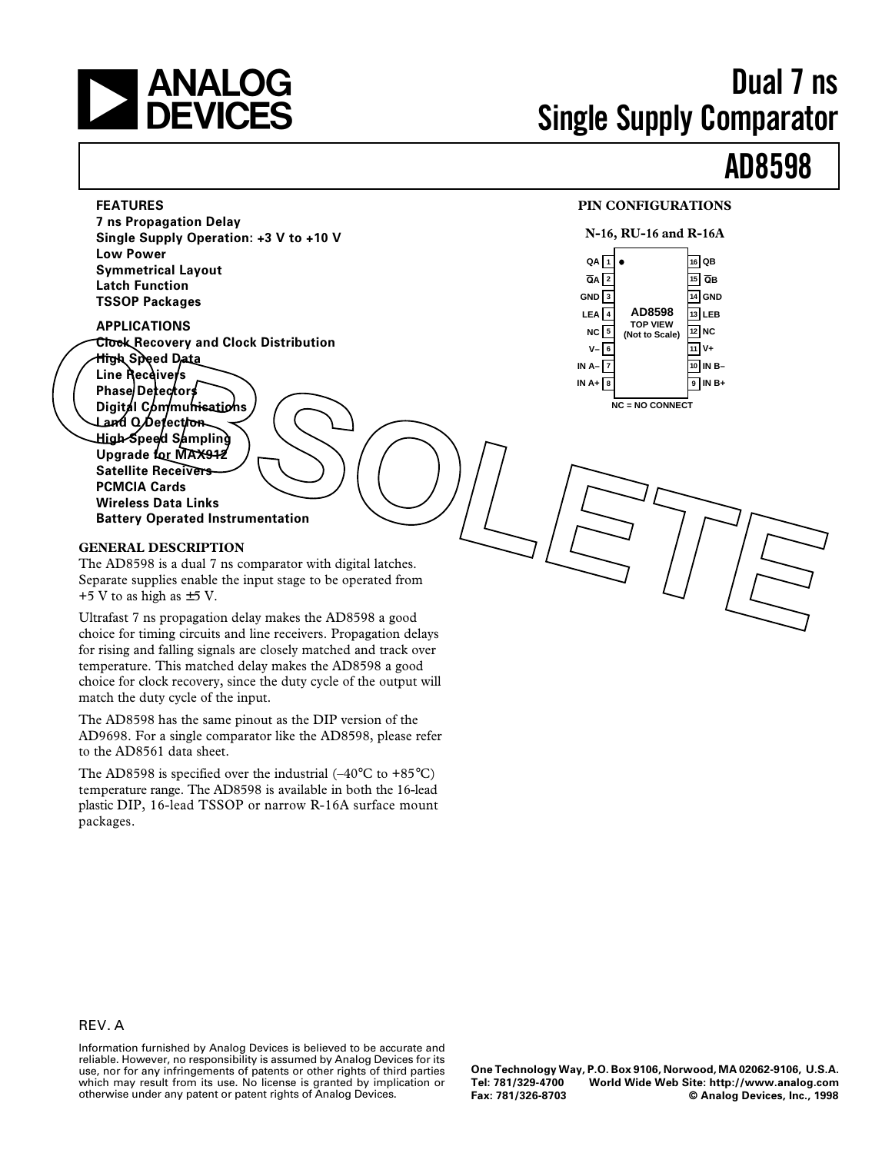

# **Dual 7 ns Single Supply Comparator**

# **AD8598**

### **FEATURES PIN CONFIGURATIONS**



**7 ns Propagation Delay Single Supply Operation: +3 V to +10 V Low Power Symmetrical Layout Latch Function TSSOP Packages**

**APPLICATIONS Clock Recovery and Clock Distribution High Speed Data** Line Receivers **Phase Detectors Digital Communications I and Q Detection High Speed Sampling** Upgrade for MAX912 **Satellite Receivers PCMCIA Cards Wireless Data Links ECORATION**<br> **OBSTRAIN Speed Drive**<br>
The Recovery and Clock Distribution<br>
The Speed Drive<br>
Phase Defectors<br>
Digital Communications<br> **OBSOLET CORATION**<br> **OBSOLET CORATION**<br> **OBSOLET CORATION**<br> **OBSOLET CORATION**<br> **OBSOLET C** 

**Battery Operated Instrumentation**

#### **GENERAL DESCRIPTION**

The AD8598 is a dual 7 ns comparator with digital latches. Separate supplies enable the input stage to be operated from  $+5$  V to as high as  $\pm$  5 V.

Ultrafast 7 ns propagation delay makes the AD8598 a good choice for timing circuits and line receivers. Propagation delays for rising and falling signals are closely matched and track over temperature. This matched delay makes the AD8598 a good choice for clock recovery, since the duty cycle of the output will match the duty cycle of the input.

The AD8598 has the same pinout as the DIP version of the AD9698. For a single comparator like the AD8598, please refer to the AD8561 data sheet.

The AD8598 is specified over the industrial  $(-40^{\circ}C \text{ to } +85^{\circ}C)$ temperature range. The AD8598 is available in both the 16-lead plastic DIP, 16-lead TSSOP or narrow R-16A surface mount packages.

### REV. A

Information furnished by Analog Devices is believed to be accurate and reliable. However, no responsibility is assumed by Analog Devices for its use, nor for any infringements of patents or other rights of third parties which may result from its use. No license is granted by implication or otherwise under any patent or patent rights of Analog Devices.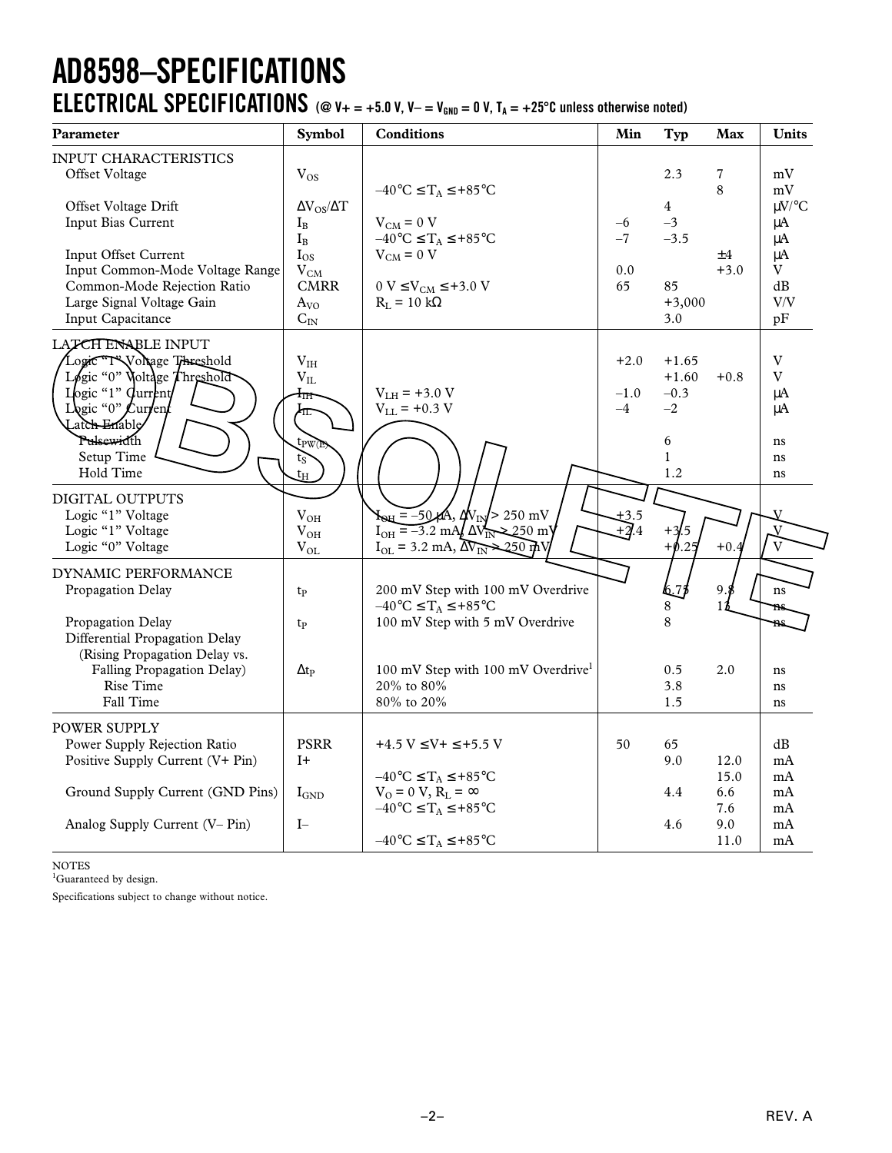## **AD8598–SPECIFICATIONS ELECTRICAL SPECIFICATIONS** ( $@$  V +  $= +5.0$  V, V  $- =$  V<sub>GND</sub>  $= 0$  V, T<sub>A</sub>  $= +25^{\circ}$ C unless otherwise noted)

| Parameter                        | <b>Symbol</b>            | <b>Conditions</b>                                                                  | Min          | <b>Typ</b>     | Max         | Units         |
|----------------------------------|--------------------------|------------------------------------------------------------------------------------|--------------|----------------|-------------|---------------|
| INPUT CHARACTERISTICS            |                          |                                                                                    |              |                |             |               |
| Offset Voltage                   | $V_{OS}$                 |                                                                                    |              | 2.3            | 7           | mV            |
|                                  |                          | $-40^{\circ}C \leq T_A \leq +85^{\circ}C$                                          |              |                | 8           | mV            |
| Offset Voltage Drift             | $\Delta V_{OS}/\Delta T$ |                                                                                    |              | $\overline{4}$ |             | $\mu$ V/°C    |
| Input Bias Current               | $I_B$                    | $V_{CM} = 0 V$                                                                     | $-6$<br>$-7$ | $-3$<br>$-3.5$ |             | $\mu A$       |
| Input Offset Current             | $I_B$<br>$I_{OS}$        | $-40^{\circ}C \leq T_A \leq +85^{\circ}C$<br>$V_{CM} = 0 V$                        |              |                | ±4          | μA<br>$\mu A$ |
| Input Common-Mode Voltage Range  | $\rm V_{CM}$             |                                                                                    | 0.0          |                | $+3.0$      | V             |
| Common-Mode Rejection Ratio      | <b>CMRR</b>              | $0 V \leq V_{\text{CM}} \leq +3.0 V$                                               | 65           | 85             |             | dB            |
| Large Signal Voltage Gain        | $A_{VO}$                 | $R_L = 10 k\Omega$                                                                 |              | $+3,000$       |             | V/V           |
| Input Capacitance                | $C_{IN}$                 |                                                                                    |              | 3.0            |             | pF            |
| LATCH ENABLE INPUT               |                          |                                                                                    |              |                |             |               |
| Logic T'Wollage Threshold        | $\rm V_{IH}$             |                                                                                    | $+2.0$       | $+1.65$        |             | V             |
| Legic "0" Voltage Throshold      | $\rm V_{II}$             |                                                                                    |              | $+1.60$        | $+0.8$      | $\rm V$       |
| Logic "1" Current                | $1_{\rm IH}$             | $V_{LH}$ = +3.0 V                                                                  | $-1.0$       | $-0.3$         |             | $\mu A$       |
| Legic "0" $\mathcal L$ urrent    | 柾                        | $V_{LL}$ = +0.3 V                                                                  | $-4$         | $-2$           |             | μA            |
| Latch Enable                     |                          |                                                                                    |              |                |             |               |
| Pulsewidth                       | tpw(E)                   |                                                                                    |              | 6              |             | ns            |
| Setup Time                       | ts                       |                                                                                    |              | $\mathbf{1}$   |             | ns            |
| Hold Time                        | $t_{\rm H}$              |                                                                                    |              | 1.2            |             | ns            |
| DIGITAL OUTPUTS                  |                          |                                                                                    |              |                |             |               |
| Logic "1" Voltage                | $V_{OH}$                 | $\mathbf{A}_{\text{QH}} = -50 \mu \text{A}, \Delta V_{\text{IN}} > 250 \text{ mV}$ |              |                |             |               |
| Logic "1" Voltage                | $V_{OH}$                 | $I_{OH} = -3.2$ mA/ $\Delta V_{IN}$<br>-250 m\                                     | $J_4$        | $+3/.5$        |             |               |
| Logic "0" Voltage                | $V_{OL}$                 | $I_{OL}$ = 3.2 mA, $\Delta \overrightarrow{V_{IN}}$ 250 m                          |              | $+0.25$        | $+0.4$      |               |
| DYNAMIC PERFORMANCE              |                          |                                                                                    |              |                |             |               |
| Propagation Delay                | t <sub>p</sub>           | 200 mV Step with 100 mV Overdrive                                                  |              | l6.79          | 9.          | ns            |
|                                  |                          | $-40^{\circ}C \leq T_A \leq +85^{\circ}C$                                          |              | 8              | $1^{\circ}$ | ms            |
| Propagation Delay                | $t_{P}$                  | 100 mV Step with 5 mV Overdrive                                                    |              | 8              |             | ns            |
| Differential Propagation Delay   |                          |                                                                                    |              |                |             |               |
| (Rising Propagation Delay vs.    |                          |                                                                                    |              |                |             |               |
| Falling Propagation Delay)       | $\Delta t_{\rm P}$       | 100 mV Step with 100 mV Overdrive <sup>1</sup>                                     |              | 0.5            | 2.0         | ns            |
| Rise Time<br>Fall Time           |                          | 20% to 80%<br>80% to 20%                                                           |              | 3.8<br>1.5     |             | ns            |
|                                  |                          |                                                                                    |              |                |             | ns            |
| <b>POWER SUPPLY</b>              |                          |                                                                                    |              |                |             |               |
| Power Supply Rejection Ratio     | <b>PSRR</b>              | $+4.5 V \le V + \le +5.5 V$                                                        | 50           | 65             |             | dB            |
| Positive Supply Current (V+ Pin) | $I+$                     |                                                                                    |              | 9.0            | 12.0        | mA            |
|                                  |                          | $-40^{\circ}C \leq T_A \leq +85^{\circ}C$                                          |              |                | 15.0        | mA            |
| Ground Supply Current (GND Pins) | $I_{\text{GND}}$         | $V_0 = 0 V$ , $R_L = \infty$                                                       |              | 4.4            | 6.6         | mA            |
| Analog Supply Current (V-Pin)    | $I-$                     | $-40^{\circ}C \leq T_A \leq +85^{\circ}C$                                          |              | 4.6            | 7.6<br>9.0  | mA<br>mA      |
|                                  |                          | $-40^{\circ}$ C $\leq$ T <sub>A</sub> $\leq$ +85 $^{\circ}$ C                      |              |                | 11.0        | mA            |
|                                  |                          |                                                                                    |              |                |             |               |

NOTES

<sup>1</sup>Guaranteed by design.

Specifications subject to change without notice.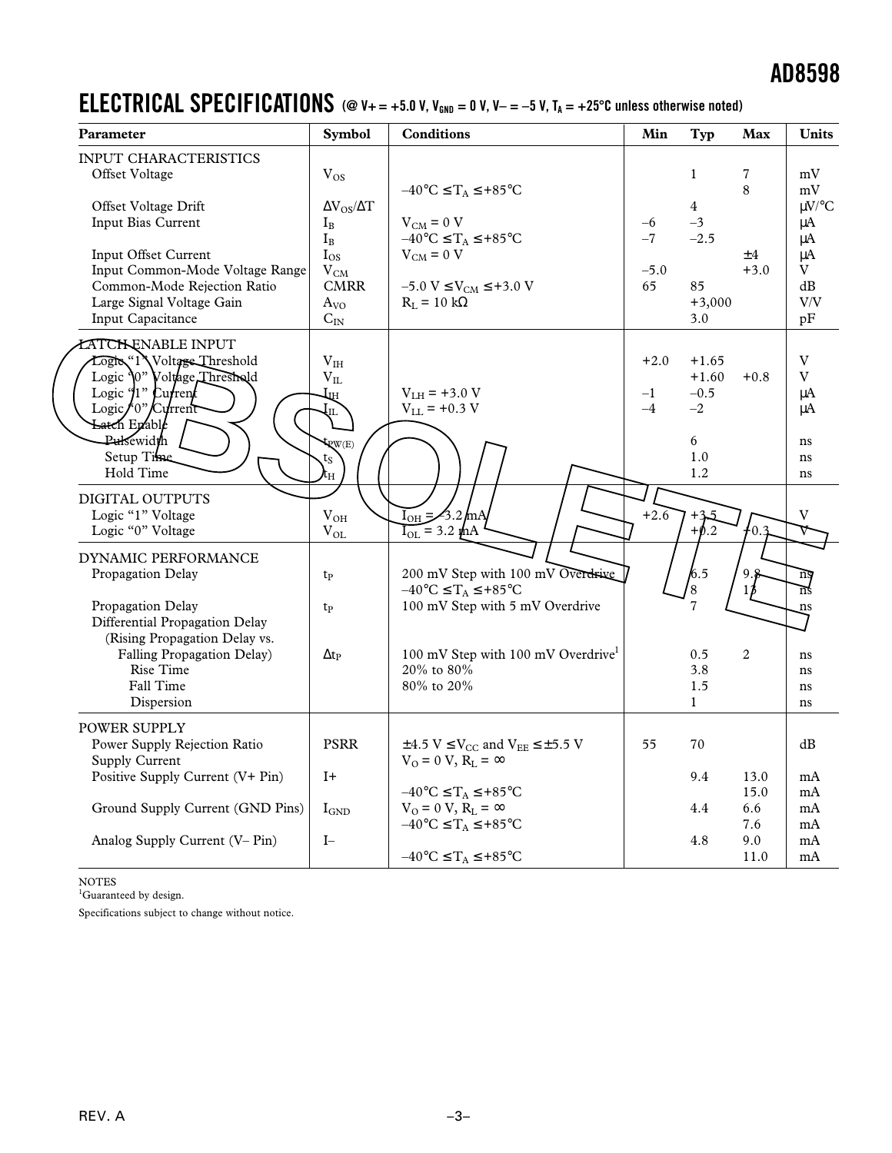### **ELECTRICAL SPECIFICATIONS** (@  $V_+=+5.0$  V,  $V_{\text{GND}} = 0$  V,  $V_- = -5$  V,  $T_A = +25^{\circ}$ C unless otherwise noted)

| Parameter                                                                                                                                                         | Symbol                                                            | <b>Conditions</b>                                                                                                   | Min                    | Typ                                  | Max          | Units                      |
|-------------------------------------------------------------------------------------------------------------------------------------------------------------------|-------------------------------------------------------------------|---------------------------------------------------------------------------------------------------------------------|------------------------|--------------------------------------|--------------|----------------------------|
| <b>INPUT CHARACTERISTICS</b><br>Offset Voltage                                                                                                                    | $V_{OS}$                                                          |                                                                                                                     |                        | $\mathbf{1}$                         | 7            | mV                         |
| Offset Voltage Drift<br>Input Bias Current                                                                                                                        | $\Delta V_{OS}/\Delta T$<br>$I_B$                                 | $-40^{\circ}$ C $\leq$ $T_A \leq +85^{\circ}$ C<br>$V_{CM} = 0 V$                                                   | $-6$                   | $\overline{4}$<br>$-3$               | 8            | mV<br>$\mu$ V/°C<br>μA     |
| Input Offset Current<br>Input Common-Mode Voltage Range<br>Common-Mode Rejection Ratio<br>Large Signal Voltage Gain                                               | $I_B$<br>$I_{OS}$<br>$V_{CM}$<br><b>CMRR</b><br>A <sub>VO</sub>   | $-40^{\circ}C \leq T_A \leq +85^{\circ}C$<br>$V_{CM} = 0 V$<br>$-5.0 V \le V_{CM} \le +3.0 V$<br>$R_L = 10 k\Omega$ | $-7$<br>$-5.0$<br>65   | $-2.5$<br>85<br>$+3,000$             | ±4<br>$+3.0$ | μA<br>μA<br>V<br>dB<br>V/V |
| Input Capacitance                                                                                                                                                 | $C_{IN}$                                                          |                                                                                                                     |                        | 3.0                                  |              | pF                         |
| <b>ATCH ENABLE INPUT</b><br>Logic "1 <sup>3</sup> Voltage Threshold<br>Logic '0" Voltage Threshold<br>Logic $\int_1$ <sup>n</sup> Current<br>Logic/0"/ $C$ urrent | $\rm V_{IH}$<br>$\rm V_{II}$<br>$\mathcal{H}^{\mathcal{H}}$<br>ЧL | $V_{LH}$ = +3.0 V<br>$V_{LL}$ = +0.3 V                                                                              | $+2.0$<br>$-1$<br>$-4$ | $+1.65$<br>$+1.60$<br>$-0.5$<br>$-2$ | $+0.8$       | V<br>$\rm{V}$<br>μA<br>μA  |
| Latch Enable<br>Pulsewidth<br>Setup Time<br>Hold Time                                                                                                             | PW(E)<br>$t_S$<br>ιH                                              |                                                                                                                     |                        | 6<br>1.0<br>1.2                      |              | ns<br>ns<br>ns             |
| DIGITAL OUTPUTS<br>Logic "1" Voltage<br>Logic "0" Voltage                                                                                                         | $V_{OH}$<br>$\rm V_{OL}$                                          | $I_{OH} = \frac{2}{3.2}$ mA<br>$\overline{I_{OL}}$ = 3.2 thA                                                        | $+2.6$                 | $+3.5$<br>$+$ Ø.2                    | ι٥.          |                            |
| DYNAMIC PERFORMANCE<br>Propagation Delay                                                                                                                          | t <sub>p</sub>                                                    | 200 mV Step with 100 mV Overdrive<br>$-40^{\circ}$ C $\leq$ T <sub>A</sub> $\leq$ +85 $^{\circ}$ C                  |                        | $k_{.5}$<br>$\overline{\mathbf{8}}$  | 9.8<br>13    | nş<br>ns                   |
| Propagation Delay<br>Differential Propagation Delay<br>(Rising Propagation Delay vs.                                                                              | t <sub>p</sub>                                                    | 100 mV Step with 5 mV Overdrive                                                                                     |                        | $\overline{7}$                       |              | ns                         |
| Falling Propagation Delay)<br>Rise Time<br>Fall Time                                                                                                              | $\Delta t_{\rm P}$                                                | 100 mV Step with 100 mV Overdrive <sup>1</sup><br>20% to 80%<br>80% to 20%                                          |                        | 0.5<br>3.8<br>1.5                    | 2            | ns<br>ns<br>ns             |
| Dispersion                                                                                                                                                        |                                                                   |                                                                                                                     |                        | $\mathbf{1}$                         |              | ns                         |
| POWER SUPPLY<br>Power Supply Rejection Ratio<br><b>Supply Current</b>                                                                                             | <b>PSRR</b>                                                       | $\pm$ 4.5 V $\leq$ V <sub>CC</sub> and V <sub>EE</sub> $\leq$ $\pm$ 5.5 V<br>$V_0 = 0 V$ , $R_L = \infty$           | 55                     | 70                                   |              | dB                         |
| Positive Supply Current (V+ Pin)                                                                                                                                  | $I+$                                                              | $-40^{\circ}$ C $\leq$ T <sub>A</sub> $\leq$ +85 $^{\circ}$ C                                                       |                        | 9.4                                  | 13.0<br>15.0 | mA<br>mA                   |
| Ground Supply Current (GND Pins)                                                                                                                                  | $\rm I_{GND}$                                                     | $V_0 = 0 V$ , $R_L = \infty$<br>$-40^{\circ}C \leq T_A \leq +85^{\circ}C$                                           |                        | 4.4                                  | 6.6<br>7.6   | mA<br>mA                   |
| Analog Supply Current (V– Pin)                                                                                                                                    | $\mathbf{I}-$                                                     | $-40^{\circ}C \leq T_A \leq +85^{\circ}C$                                                                           |                        | 4.8                                  | 9.0<br>11.0  | mA<br>mA                   |

NOTES

<sup>1</sup>Guaranteed by design.

Specifications subject to change without notice.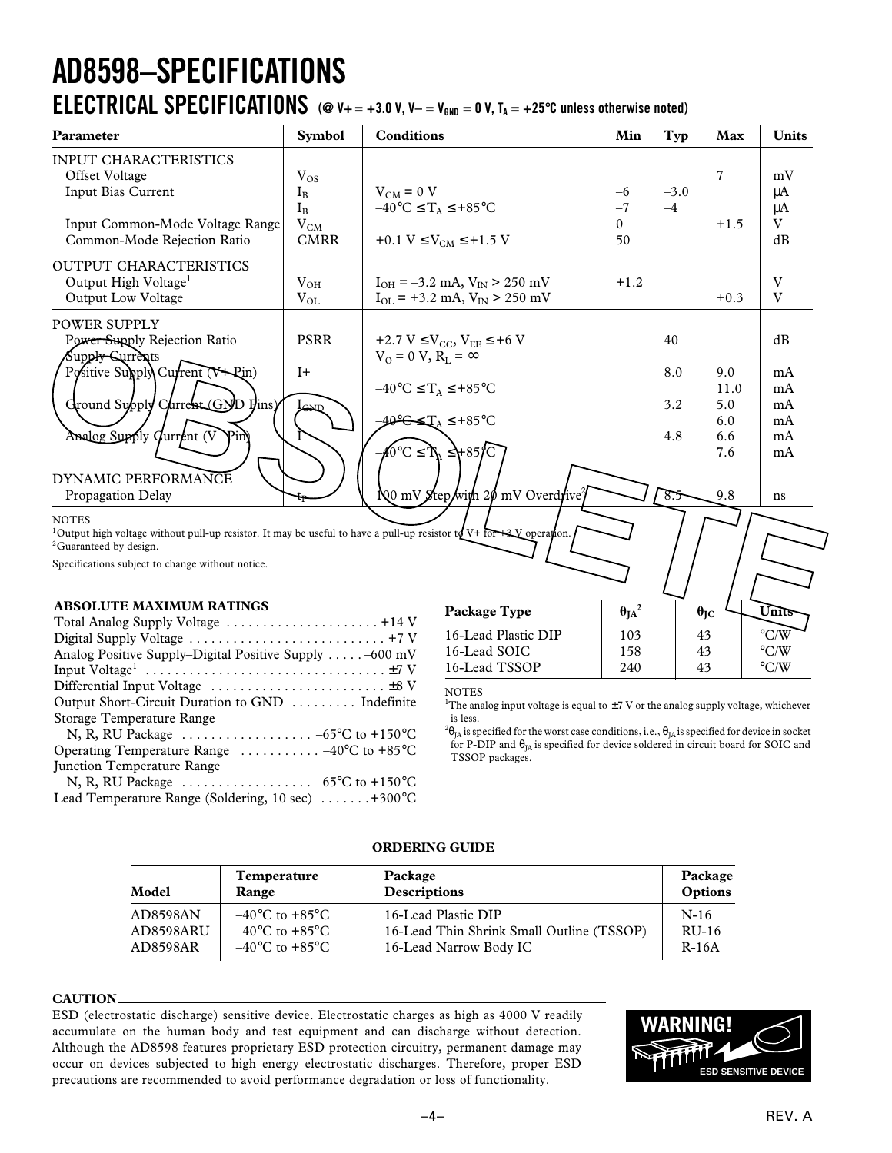# **AD8598–SPECIFICATIONS**

### **ELECTRICAL SPECIFICATIONS** ( $@$  V+ = +3.0 V, V- = V<sub>GND</sub> = 0 V, T<sub>A</sub> = +25°C unless otherwise noted)

| Parameter                                                                                                                                          | <b>Symbol</b> | <b>Conditions</b>                                            | Min             | Typ    | Max               | <b>Units</b> |
|----------------------------------------------------------------------------------------------------------------------------------------------------|---------------|--------------------------------------------------------------|-----------------|--------|-------------------|--------------|
| <b>INPUT CHARACTERISTICS</b>                                                                                                                       |               |                                                              |                 |        |                   |              |
| Offset Voltage                                                                                                                                     | $V_{OS}$      |                                                              |                 |        | $\overline{7}$    | mV           |
| Input Bias Current                                                                                                                                 | $I_{\rm B}$   | $V_{CM} = 0 V$                                               | $-6$            | $-3.0$ |                   | $\mu A$      |
|                                                                                                                                                    | $I_B$         | $-40^{\circ}$ C $\leq T_A \leq +85^{\circ}$ C                | $-7$            | $-4$   |                   | $\mu A$      |
| Input Common-Mode Voltage Range                                                                                                                    | $V_{CM}$      |                                                              | $\Omega$        |        | $+1.5$            | V            |
| Common-Mode Rejection Ratio                                                                                                                        | <b>CMRR</b>   | +0.1 $V \le V_{CM} \le +1.5 V$                               | 50              |        |                   | dB           |
| <b>OUTPUT CHARACTERISTICS</b>                                                                                                                      |               |                                                              |                 |        |                   |              |
| Output High Voltage <sup>1</sup>                                                                                                                   | $V_{OH}$      | $I_{OH} = -3.2$ mA, $V_{IN} > 250$ mV                        | $+1.2$          |        |                   | V            |
| <b>Output Low Voltage</b>                                                                                                                          | $V_{OL}$      | $I_{OL}$ = +3.2 mA, $V_{IN}$ > 250 mV                        |                 |        | $+0.3$            | V            |
| <b>POWER SUPPLY</b>                                                                                                                                |               |                                                              |                 |        |                   |              |
| Power Supply Rejection Ratio                                                                                                                       | <b>PSRR</b>   | +2.7 V $\leq$ V <sub>CC</sub> , V <sub>EE</sub> $\leq$ +6 V  |                 | 40     |                   | dB           |
| Supp <del>ly S</del> urrents                                                                                                                       |               | $V_0 = 0 V$ , $R_I = \infty$                                 |                 |        |                   |              |
| Positive Supply Current (V+Rin)                                                                                                                    | $I+$          |                                                              |                 | 8.0    | 9.0               | mA           |
|                                                                                                                                                    |               | $-40^{\circ}$ C $\leq$ $T_A \leq +85^{\circ}$ C              |                 |        | 11.0              | mA           |
| Ground Supply Current (GND Fins)                                                                                                                   |               |                                                              |                 | 3.2    | 5.0               | mA           |
|                                                                                                                                                    | GNI           | $40^\circ$ CS $T_A \leq +85^\circ C$                         |                 |        | 6.0               | mA           |
| Analog Supply Current (V-Pin)                                                                                                                      |               |                                                              |                 | 4.8    | 6.6               | mA           |
|                                                                                                                                                    |               | $\angle 40^{\circ}$ C $\leq$ $\frac{1}{\Lambda} \leq +85$ /C |                 |        | 7.6               | mA           |
| DYNAMIC PERFORMANCE                                                                                                                                |               |                                                              |                 |        |                   |              |
| Propagation Delay                                                                                                                                  |               | No mV Step/with 20 mV Overdrive <sup>2</sup>                 |                 | 8.5    | 9.8               | ns           |
| <b>NOTES</b>                                                                                                                                       |               |                                                              |                 |        |                   |              |
| <sup>1</sup> Output high voltage without pull-up resistor. It may be useful to have a pull-up resistor to $V^+$ for $\rightarrow \infty$ peration. |               |                                                              |                 |        |                   |              |
| <sup>2</sup> Guaranteed by design.                                                                                                                 |               |                                                              |                 |        |                   |              |
| Specifications subject to change without notice.                                                                                                   |               |                                                              |                 |        |                   |              |
|                                                                                                                                                    |               |                                                              |                 |        |                   |              |
| <b>ABSOLUTE MAXIMUM RATINGS</b>                                                                                                                    |               | Package Type                                                 | $\theta_{JA}^2$ |        | $\theta_{\rm JC}$ | Units        |
|                                                                                                                                                    |               |                                                              |                 |        |                   |              |

### **ABSOLUTE MAXIMUM RATINGS**

| Analog Positive Supply–Digital Positive Supply $\dots$ . $-600$ mV        |
|---------------------------------------------------------------------------|
|                                                                           |
|                                                                           |
| Output Short-Circuit Duration to GND  Indefinite                          |
| Storage Temperature Range                                                 |
| N, R, RU Package $\ldots \ldots \ldots \ldots \ldots -65$ °C to +150°C    |
| Operating Temperature Range $\ldots \ldots \ldots -40^{\circ}C$ to +85 °C |
| <b>Iunction Temperature Range</b>                                         |
| N, R, RU Package $\ldots \ldots \ldots \ldots \ldots -65$ °C to +150°C    |
| Lead Temperature Range (Soldering, 10 sec) $\dots \dots +300^{\circ}C$    |
|                                                                           |

**Package Type**  $\theta_{JA}^2$   $\theta_{JC}$  **Units** 16-Lead Plastic DIP 103 43 C/W 16-Lead SOIC  $\begin{array}{|c|c|c|c|c|c|}\n\hline\n16\text{--}\text{Lead TSSOP} & 158 & 43 & \text{°C/W} \\
\hline\n16\text{--}\text{Lead TSSOP} & 240 & 43 & \text{°C/W}\n\hline\n\end{array}$ 16-Lead TSSOP 240

### **NOTES**

<sup>1</sup>The analog input voltage is equal to  $\pm$ 7 V or the analog supply voltage, whichever is less.

 $^{2}\theta_{\rm JA}$  is specified for the worst case conditions, i.e.,  $\theta_{\rm JA}$  is specified for device in socket for P-DIP and  $\theta_{IA}$  is specified for device soldered in circuit board for SOIC and TSSOP packages.

| Model     | <b>Temperature</b>                 | Package                                   | Package |
|-----------|------------------------------------|-------------------------------------------|---------|
|           | Range                              | <b>Descriptions</b>                       | Options |
| AD8598AN  | $-40^{\circ}$ C to $+85^{\circ}$ C | 16-Lead Plastic DIP                       | $N-16$  |
| AD8598ARU | $-40^{\circ}$ C to $+85^{\circ}$ C | 16-Lead Thin Shrink Small Outline (TSSOP) | $RU-16$ |
| AD8598AR  | $-40^{\circ}$ C to $+85^{\circ}$ C | 16-Lead Narrow Body IC                    | $R-16A$ |

### **ORDERING GUIDE**

#### **CAUTION**

ESD (electrostatic discharge) sensitive device. Electrostatic charges as high as 4000 V readily accumulate on the human body and test equipment and can discharge without detection. Although the AD8598 features proprietary ESD protection circuitry, permanent damage may occur on devices subjected to high energy electrostatic discharges. Therefore, proper ESD precautions are recommended to avoid performance degradation or loss of functionality.

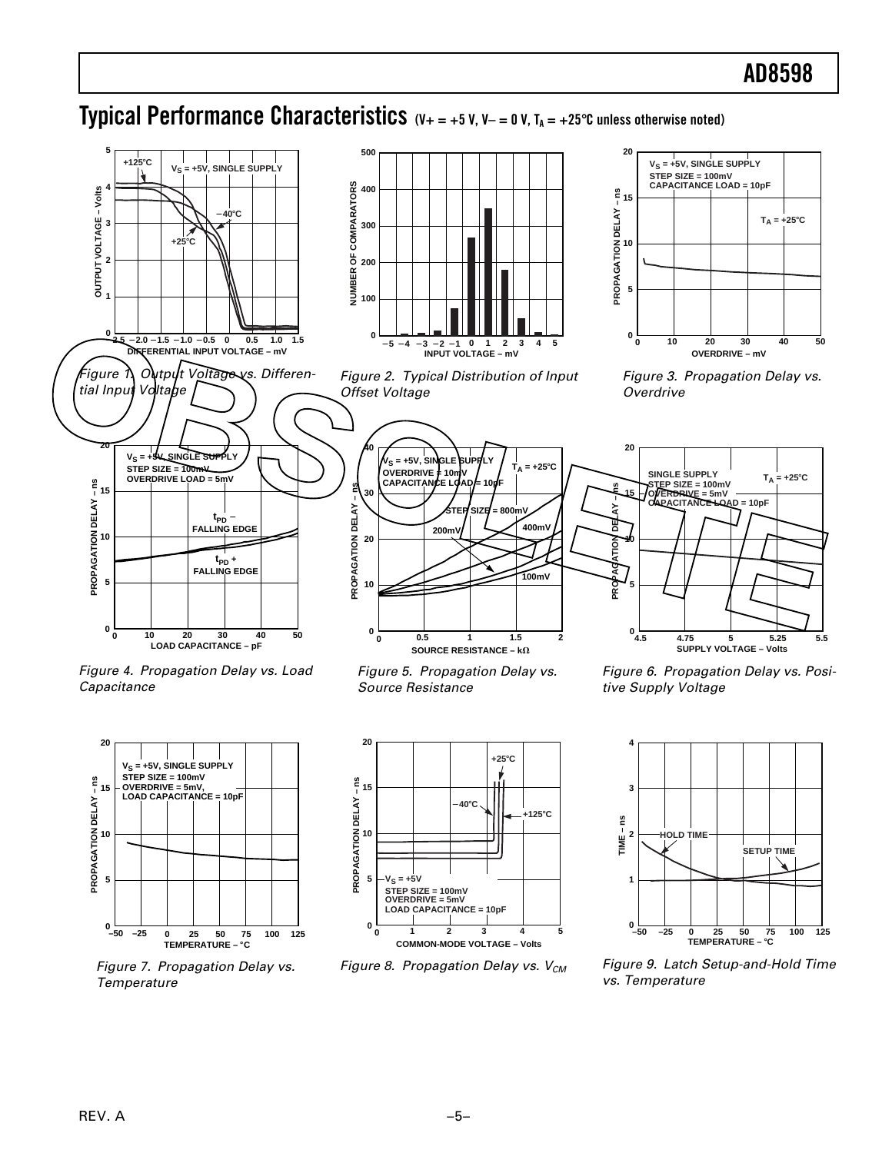### **Typical Performance Characteristics**  $(V_+ = +5 V, V_- = 0 V, T_A = +25$ °C unless otherwise noted)

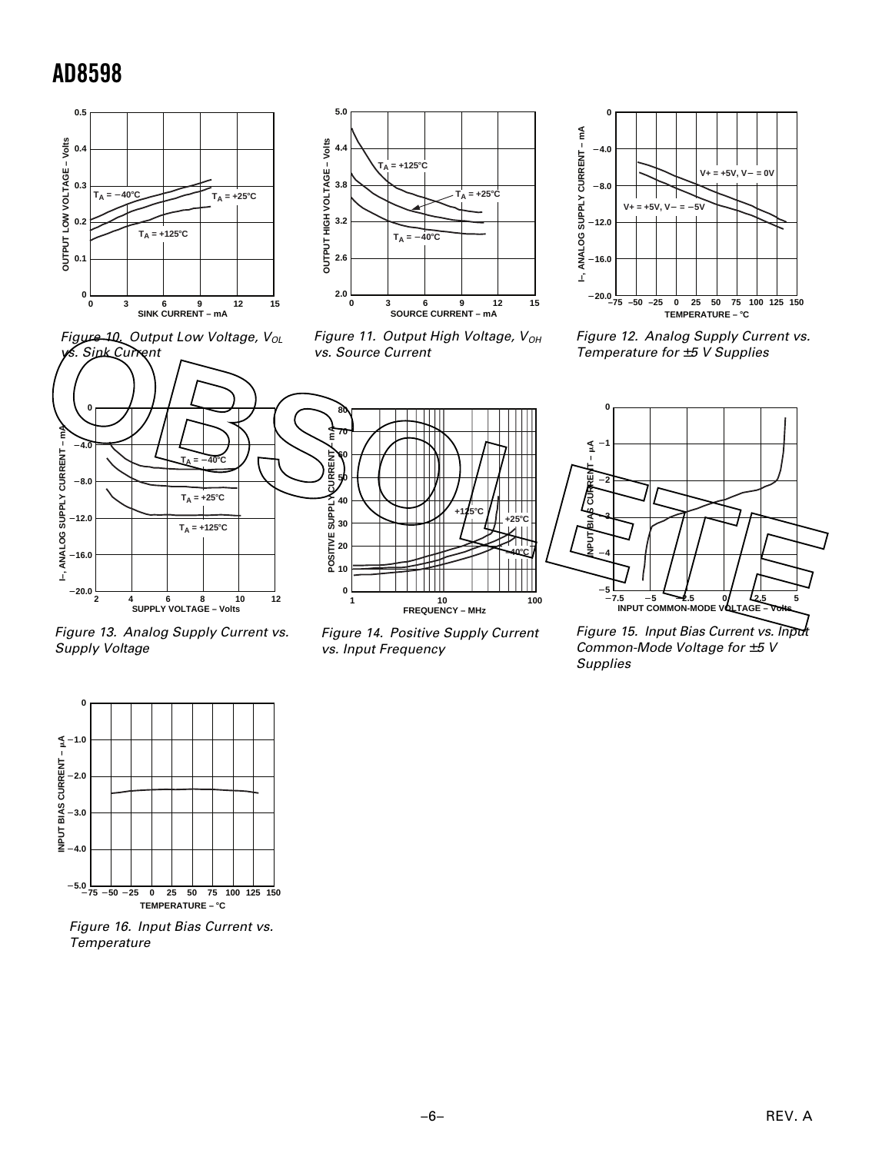



Figure 11. Output High Voltage,  $V_{OH}$ vs. Source Current







Figure 12. Analog Supply Current vs. Temperature for  $±5$  V Supplies



Figure 13. Analog Supply Current vs. Supply Voltage

Figure 14. Positive Supply Current vs. Input Frequency

Figure 15. Input Bias Current vs. Input Common-Mode Voltage for  $\pm 5$  V Supplies



Figure 16. Input Bias Current vs. **Temperature**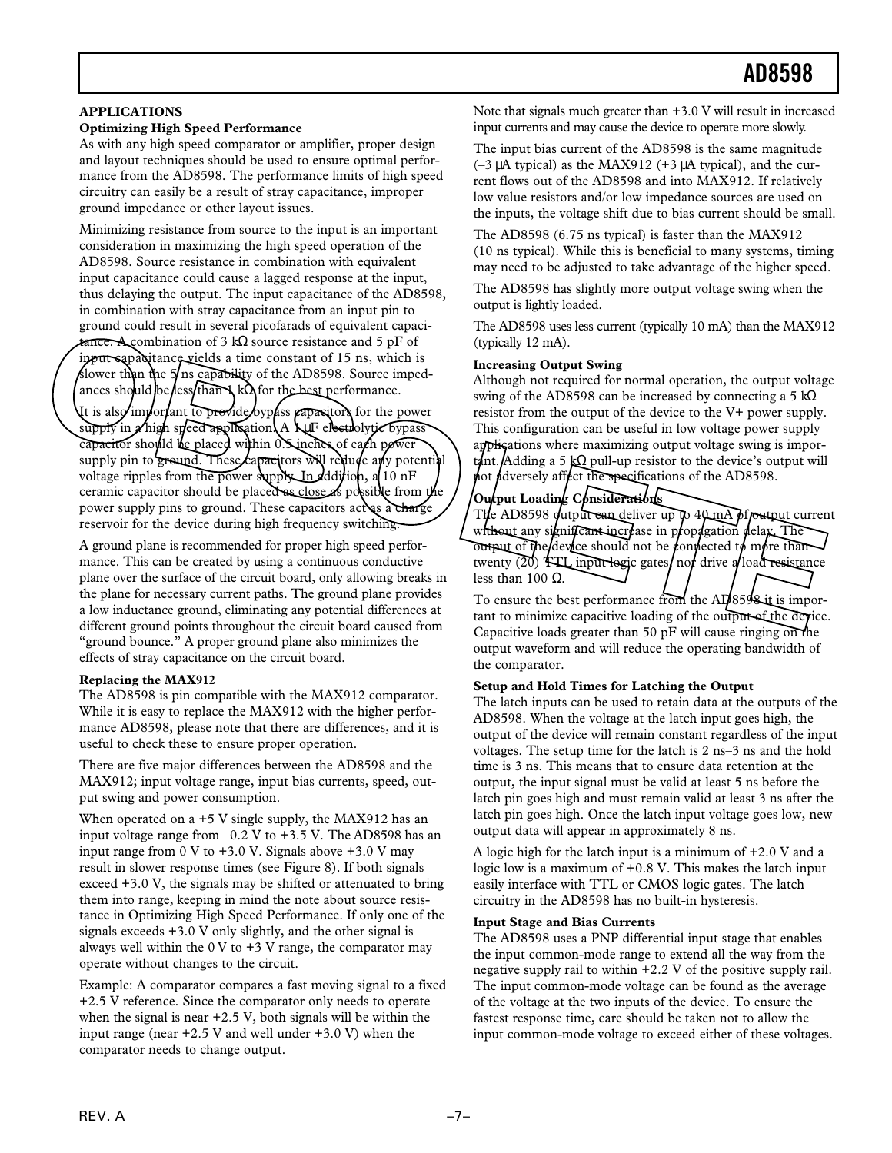### **APPLICATIONS**

#### **Optimizing High Speed Performance**

As with any high speed comparator or amplifier, proper design and layout techniques should be used to ensure optimal performance from the AD8598. The performance limits of high speed circuitry can easily be a result of stray capacitance, improper ground impedance or other layout issues.

Minimizing resistance from source to the input is an important consideration in maximizing the high speed operation of the AD8598. Source resistance in combination with equivalent input capacitance could cause a lagged response at the input, thus delaying the output. The input capacitance of the AD8598, in combination with stray capacitance from an input pin to ground could result in several picofarads of equivalent capacitance. A combination of 3 kΩ source resistance and 5 pF of input eapaditance yields a time constant of 15 ns, which is slower than the 5/ns capability of the AD8598. Source impedances should be less than NkΩ for the best-performance.

It is also important to provide bypass capacitors for the power supply in A high speed application. A 1 pF electrolytic bypass capacitor should be placed within 0.5 inches of each power supply pin to ground. These capacitors will reduce any potential voltage ripples from the power supply. In dddition, a 10 nF ceramic capacitor should be placed as close as possible from the power supply pins to ground. These capacitors act as a charge reservoir for the device during high frequency switching. FIGGE. Asymphotion of 3 kG source resistance and 5 pF of the ADS598 uses is current (typically 10 mH<sub>3</sub>) usin the NHAS1.<br>
In the MHAS is the constant of 15 ns, which is<br>
(typically 12 mA).<br>
In the Share of 15 ns, which is<br>

A ground plane is recommended for proper high speed performance. This can be created by using a continuous conductive plane over the surface of the circuit board, only allowing breaks in the plane for necessary current paths. The ground plane provides a low inductance ground, eliminating any potential differences at different ground points throughout the circuit board caused from "ground bounce." A proper ground plane also minimizes the effects of stray capacitance on the circuit board.

#### **Replacing the MAX912**

The AD8598 is pin compatible with the MAX912 comparator. While it is easy to replace the MAX912 with the higher performance AD8598, please note that there are differences, and it is useful to check these to ensure proper operation.

There are five major differences between the AD8598 and the MAX912; input voltage range, input bias currents, speed, output swing and power consumption.

When operated on a +5 V single supply, the MAX912 has an input voltage range from  $-0.2$  V to  $+3.5$  V. The AD8598 has an input range from  $0 \text{ V}$  to  $+3.0 \text{ V}$ . Signals above  $+3.0 \text{ V}$  may result in slower response times (see Figure 8). If both signals exceed +3.0 V, the signals may be shifted or attenuated to bring them into range, keeping in mind the note about source resistance in Optimizing High Speed Performance. If only one of the signals exceeds +3.0 V only slightly, and the other signal is always well within the  $0 \text{ V}$  to  $+3 \text{ V}$  range, the comparator may operate without changes to the circuit.

Example: A comparator compares a fast moving signal to a fixed +2.5 V reference. Since the comparator only needs to operate when the signal is near +2.5 V, both signals will be within the input range (near  $+2.5$  V and well under  $+3.0$  V) when the comparator needs to change output.

Note that signals much greater than +3.0 V will result in increased input currents and may cause the device to operate more slowly.

The input bias current of the AD8598 is the same magnitude  $(-3 \mu A \text{ typical})$  as the MAX912 (+3  $\mu A$  typical), and the current flows out of the AD8598 and into MAX912. If relatively low value resistors and/or low impedance sources are used on the inputs, the voltage shift due to bias current should be small.

The AD8598 (6.75 ns typical) is faster than the MAX912 (10 ns typical). While this is beneficial to many systems, timing may need to be adjusted to take advantage of the higher speed.

The AD8598 has slightly more output voltage swing when the output is lightly loaded.

The AD8598 uses less current (typically 10 mA) than the MAX912 (typically 12 mA).

#### **Increasing Output Swing**

Although not required for normal operation, the output voltage swing of the AD8598 can be increased by connecting a 5 k $\Omega$ resistor from the output of the device to the V+ power supply. This configuration can be useful in low voltage power supply applications where maximizing output voltage swing is important. Adding a 5 kΩ pull-up resistor to the device's output will  $\mu$ ot  $\mu$ dversely aff $\mu$ ct the specifications of the AD8598.

### **Output Loading Considerations**

The AD8598 output can deliver up to  $40$  mA of output current without any significant increase in propagation delay. The output of the device should not be connected to more than twenty  $(20)$  TTL input logic gates/not drive a/load resistance less than 100  $Ω$ .

To ensure the best performance from the AD8598 it is important to minimize capacitive loading of the output of the device. Capacitive loads greater than 50 pF will cause ringing on the output waveform and will reduce the operating bandwidth of the comparator.

#### **Setup and Hold Times for Latching the Output**

The latch inputs can be used to retain data at the outputs of the AD8598. When the voltage at the latch input goes high, the output of the device will remain constant regardless of the input voltages. The setup time for the latch is 2 ns–3 ns and the hold time is 3 ns. This means that to ensure data retention at the output, the input signal must be valid at least 5 ns before the latch pin goes high and must remain valid at least 3 ns after the latch pin goes high. Once the latch input voltage goes low, new output data will appear in approximately 8 ns.

A logic high for the latch input is a minimum of +2.0 V and a logic low is a maximum of +0.8 V. This makes the latch input easily interface with TTL or CMOS logic gates. The latch circuitry in the AD8598 has no built-in hysteresis.

### **Input Stage and Bias Currents**

The AD8598 uses a PNP differential input stage that enables the input common-mode range to extend all the way from the negative supply rail to within +2.2 V of the positive supply rail. The input common-mode voltage can be found as the average of the voltage at the two inputs of the device. To ensure the fastest response time, care should be taken not to allow the input common-mode voltage to exceed either of these voltages.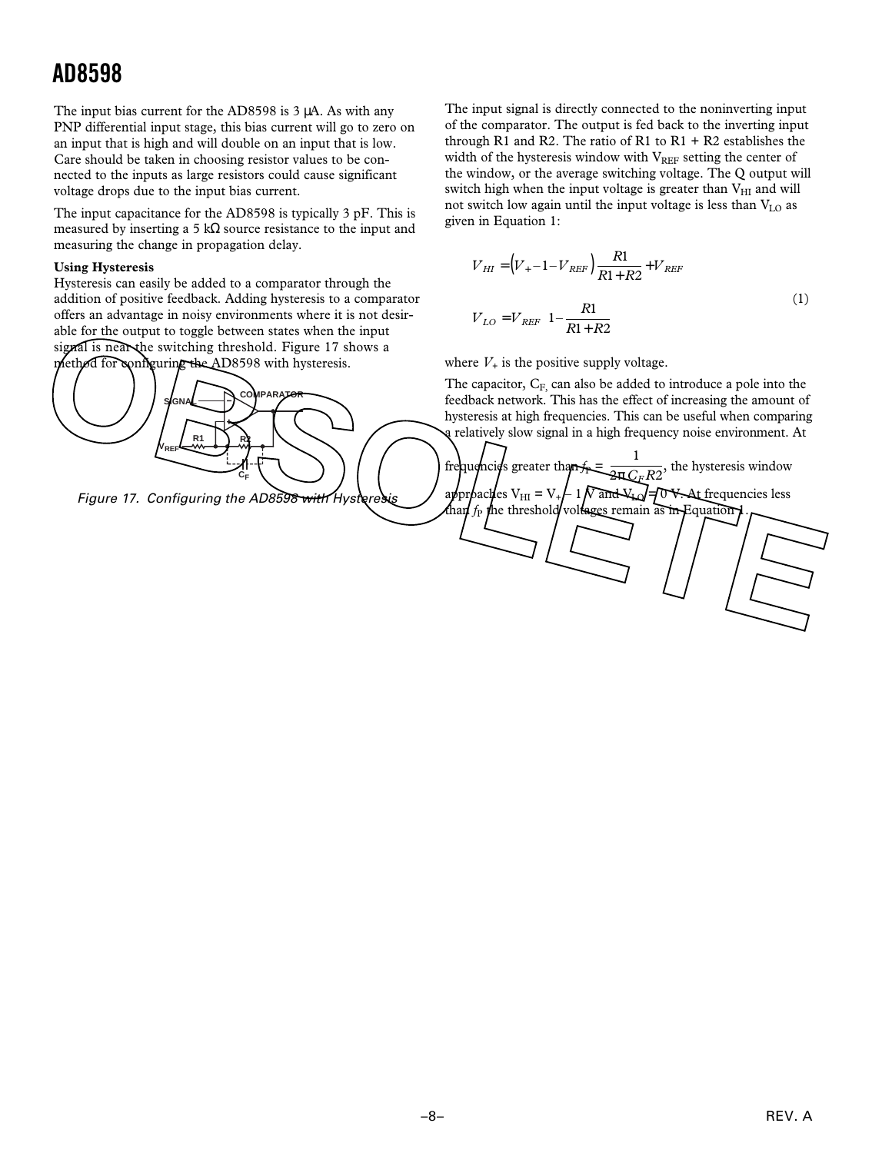The input bias current for the AD8598 is 3 µA. As with any PNP differential input stage, this bias current will go to zero on an input that is high and will double on an input that is low. Care should be taken in choosing resistor values to be connected to the inputs as large resistors could cause significant voltage drops due to the input bias current.

The input capacitance for the AD8598 is typically 3 pF. This is measured by inserting a 5 kΩ source resistance to the input and measuring the change in propagation delay.

### **Using Hysteresis**

Hysteresis can easily be added to a comparator through the addition of positive feedback. Adding hysteresis to a comparator offers an advantage in noisy environments where it is not desirable for the output to toggle between states when the input signal is near the switching threshold. Figure 17 shows a method for configuring the AD8598 with hysteresis.



Figure 17. Configuring the AD8598 with Hyst

The input signal is directly connected to the noninverting input of the comparator. The output is fed back to the inverting input through R1 and R2. The ratio of R1 to  $R1 + R2$  establishes the width of the hysteresis window with  $V_{REF}$  setting the center of the window, or the average switching voltage. The Q output will switch high when the input voltage is greater than  $V_{HI}$  and will not switch low again until the input voltage is less than VLO as given in Equation 1:

$$
V_{HI} = (V_{+} - 1 - V_{REF}) \frac{R1}{R1 + R2} + V_{REF}
$$
  

$$
V_{LO} = V_{REF} \left(1 - \frac{R1}{R1 + R2}\right)
$$
 (1)

where  $V_+$  is the positive supply voltage.

frequencies greater than

The capacitor,  $C_F$ , can also be added to introduce a pole into the feedback network. This has the effect of increasing the amount of hysteresis at high frequencies. This can be useful when comparing relatively slow signal in a high frequency noise environment. At

> 1 2π *CFR*2

approaches  $V_{\text{HI}} = V_{+} \int 1 \gamma \text{ and } V_{\text{D}} = \int 0 \gamma \cdot \text{At frequencies less than } f_{\text{P}}$  the threshold/voltages remain as in Equation 1.

, the hysteresis window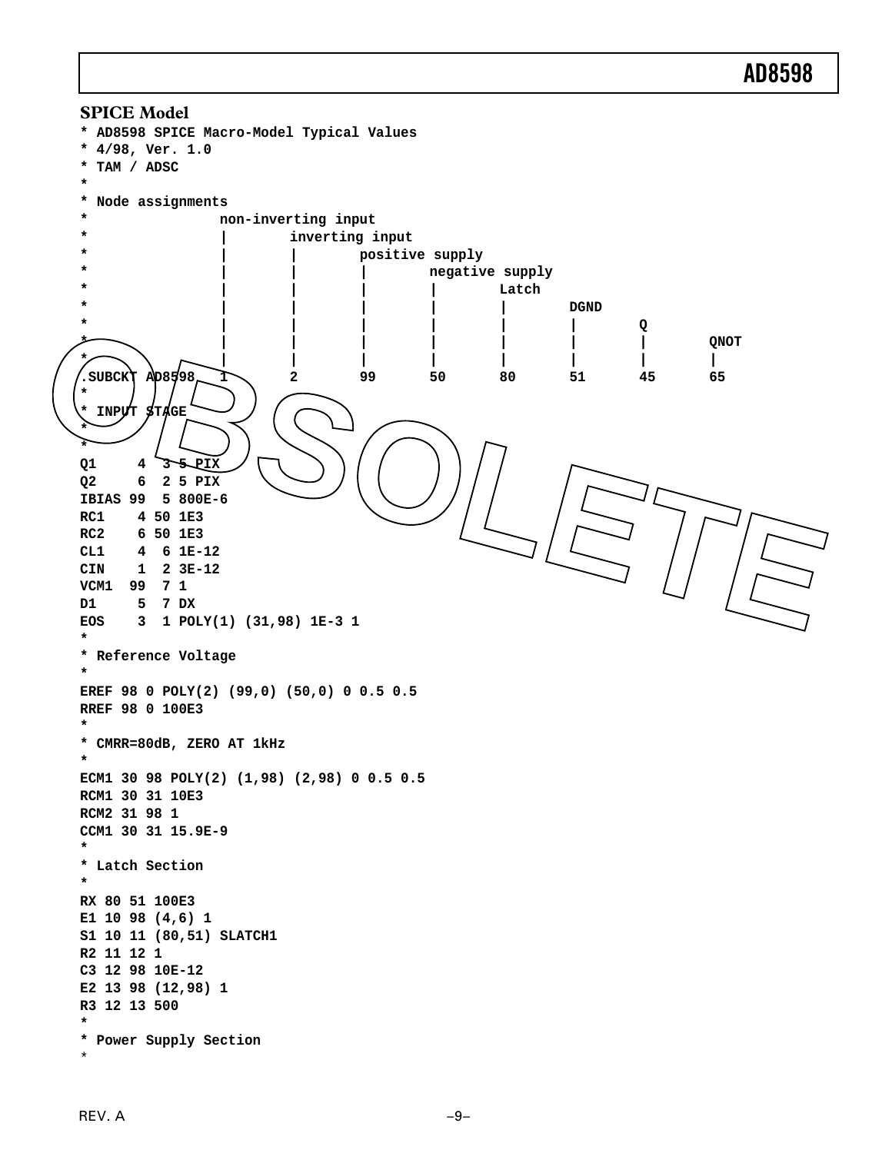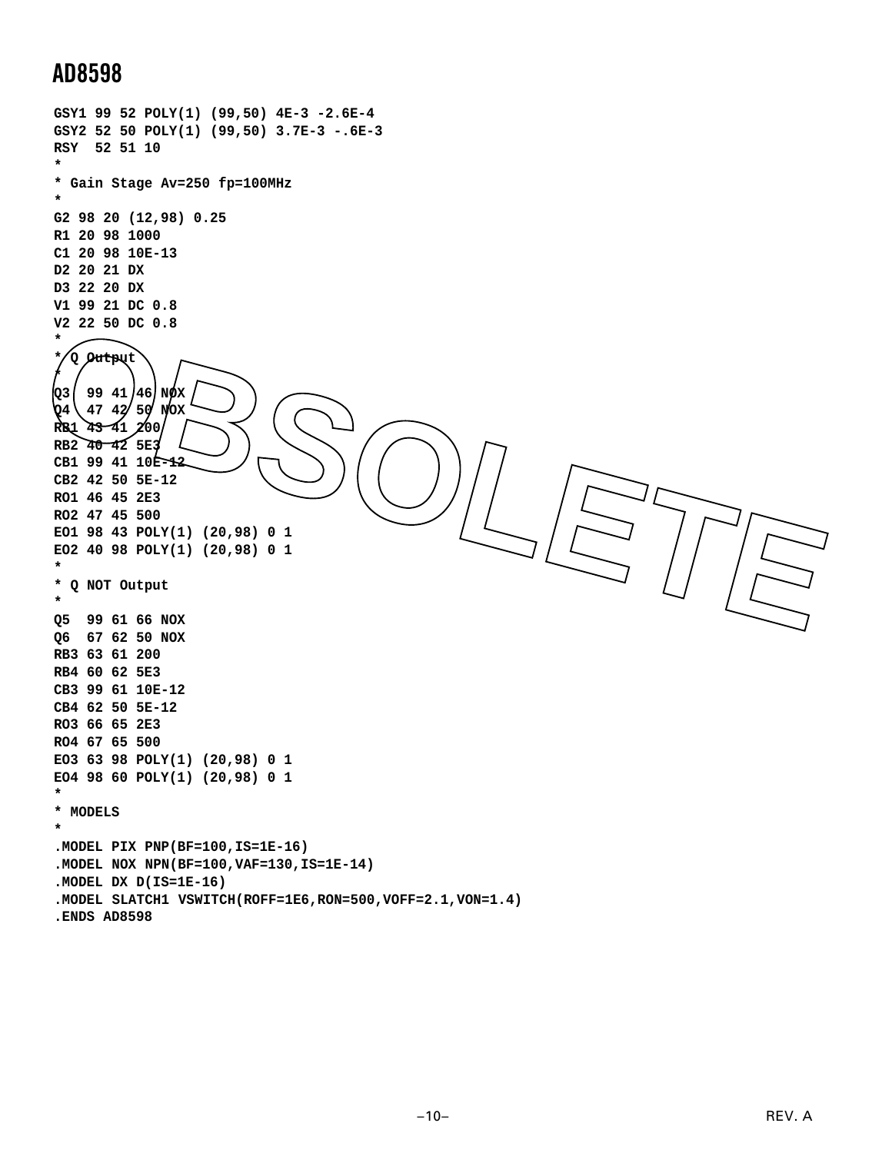```
GSY1 99 52 POLY(1) (99,50) 4E-3 -2.6E-4
 GSY2 52 50 POLY(1) (99,50) 3.7E-3 -.6E-3
RSY 52 51 10
 *
 * Gain Stage Av=250 fp=100MHz
 *
G2 98 20 (12,98) 0.25
R1 20 98 1000
 C1 20 98 10E-13
D2 20 21 DX
D3 22 20 DX
V1 99 21 DC 0.8
 V2 22 50 DC 0.8
 *
 * Q Output
 *
 Q3 99 41 46 NOX
 Q4 47 42 50 NOX
 RB1 43 41 200
 RB2 40 42 5E3
 CB1 99 41 10E-12
 CB2 42 50 5E-12
 RO1 46 45 2E3
RO2 47 45 500
 EO1 98 43 POLY(1) (20,98) 0 1
EO2 40 98 POLY(1) (20,98) 0 1
 *
 * Q NOT Output
 *
 Q5 99 61 66 NOX
 Q6 67 62 50 NOX
RB3 63 61 200
RB4 60 62 5E3
 CB3 99 61 10E-12
 CB4 62 50 5E-12
RO3 66 65 2E3
RO4 67 65 500
 EO3 63 98 POLY(1) (20,98) 0 1
 EO4 98 60 POLY(1) (20,98) 0 1
 *
 * MODELS
 *
 .MODEL PIX PNP(BF=100,IS=1E-16)
 .MODEL NOX NPN(BF=100,VAF=130,IS=1E-14)
 .MODEL DX D(IS=1E-16)
 .MODEL SLATCH1 VSWITCH(ROFF=1E6,RON=500,VOFF=2.1,VON=1.4)
 .ENDS AD8598
OBSOLETE
```